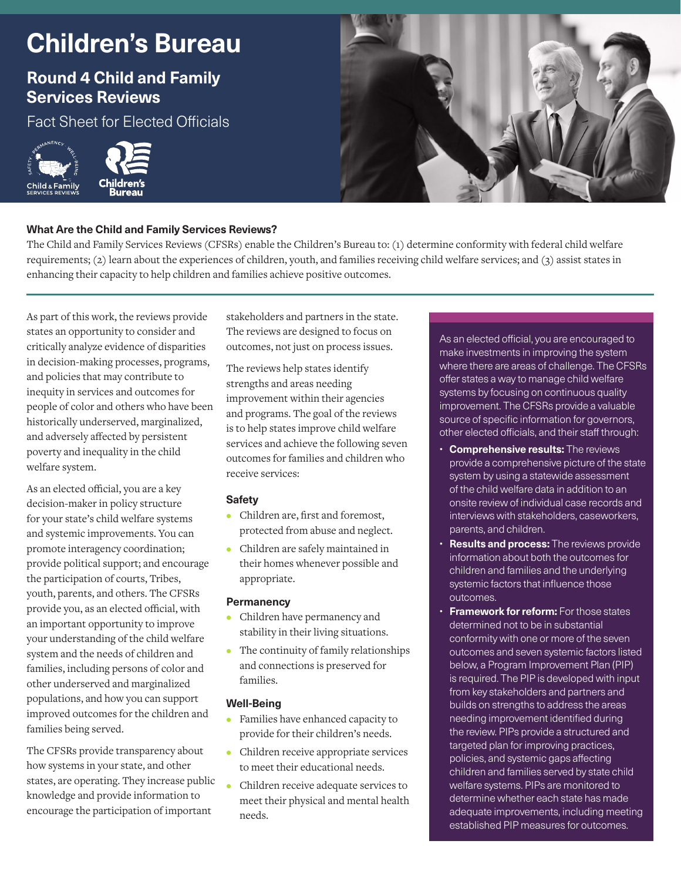# **Children's Bureau**

# **Round 4 Child and Family Services Reviews**

Fact Sheet for Elected Officials





# **What Are the Child and Family Services Reviews?**

The Child and Family Services Reviews (CFSRs) enable the Children's Bureau to: (1) determine conformity with federal child welfare requirements; (2) learn about the experiences of children, youth, and families receiving child welfare services; and (3) assist states in enhancing their capacity to help children and families achieve positive outcomes.

As part of this work, the reviews provide states an opportunity to consider and critically analyze evidence of disparities in decision-making processes, programs, and policies that may contribute to inequity in services and outcomes for people of color and others who have been historically underserved, marginalized, and adversely affected by persistent poverty and inequality in the child welfare system.

As an elected official, you are a key decision-maker in policy structure for your state's child welfare systems and systemic improvements. You can promote interagency coordination; provide political support; and encourage the participation of courts, Tribes, youth, parents, and others. The CFSRs provide you, as an elected official, with an important opportunity to improve your understanding of the child welfare system and the needs of children and families, including persons of color and other underserved and marginalized populations, and how you can support improved outcomes for the children and families being served.

The CFSRs provide transparency about how systems in your state, and other states, are operating. They increase public knowledge and provide information to encourage the participation of important

stakeholders and partners in the state. The reviews are designed to focus on outcomes, not just on process issues.

The reviews help states identify strengths and areas needing improvement within their agencies and programs. The goal of the reviews is to help states improve child welfare services and achieve the following seven outcomes for families and children who receive services:

# **Safety**

- **•** Children are, first and foremost, protected from abuse and neglect.
- **•** Children are safely maintained in their homes whenever possible and appropriate.

#### **Permanency**

- **•** Children have permanency and stability in their living situations.
- **•** The continuity of family relationships and connections is preserved for families.

# **Well-Being**

- **•** Families have enhanced capacity to provide for their children's needs.
- **•** Children receive appropriate services to meet their educational needs.
- **•** Children receive adequate services to meet their physical and mental health needs.

As an elected official, you are encouraged to make investments in improving the system where there are areas of challenge. The CFSRs offer states a way to manage child welfare systems by focusing on continuous quality improvement. The CFSRs provide a valuable source of specific information for governors, other elected officials, and their staff through:

- **Comprehensive results:** The reviews provide a comprehensive picture of the state system by using a statewide assessment of the child welfare data in addition to an onsite review of individual case records and interviews with stakeholders, caseworkers, parents, and children.
- **Results and process:** The reviews provide information about both the outcomes for children and families and the underlying systemic factors that influence those outcomes.
- **Framework for reform:** For those states determined not to be in substantial conformity with one or more of the seven outcomes and seven systemic factors listed below, a Program Improvement Plan (PIP) is required. The PIP is developed with input from key stakeholders and partners and builds on strengths to address the areas needing improvement identified during the review. PIPs provide a structured and targeted plan for improving practices, policies, and systemic gaps affecting children and families served by state child welfare systems. PIPs are monitored to determine whether each state has made adequate improvements, including meeting established PIP measures for outcomes.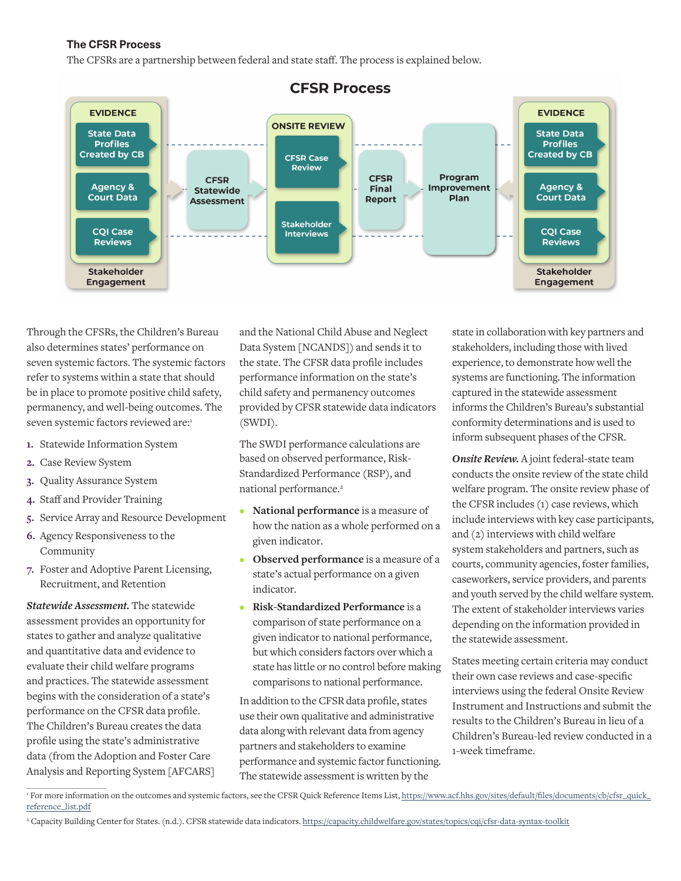# **The CFSR Process**

The CFSRs are a partnership between federal and state staff. The process is explained below.



Through the CFSRs, the Children's Bureau also determines states' performance on seven systemic factors. The systemic factors refer to systems within a state that should be in place to promote positive child safety, permanency, and well-being outcomes. The seven systemic factors reviewed are:1

- **1.** Statewide Information System
- **2.** Case Review System
- **3.** Quality Assurance System
- **4.** Staff and Provider Training
- **5.** Service Array and Resource Development
- **6.** Agency Responsiveness to the Community
- **7.** Foster and Adoptive Parent Licensing, Recruitment, and Retention

*Statewide Assessment.* The statewide assessment provides an opportunity for states to gather and analyze qualitative and quantitative data and evidence to evaluate their child welfare programs and practices. The statewide assessment begins with the consideration of a state's performance on the CFSR data profile. The Children's Bureau creates the data profile using the state's administrative data (from the Adoption and Foster Care Analysis and Reporting System [AFCARS] and the National Child Abuse and Neglect Data System [NCANDS]) and sends it to the state. The CFSR data profile includes performance information on the state's child safety and permanency outcomes provided by CFSR statewide data indicators (SWDI).

The SWDI performance calculations are based on observed performance, Risk-Standardized Performance (RSP), and national performance.<sup>2</sup>

- **• National performance** is a measure of how the nation as a whole performed on a given indicator.
- **• Observed performance** is a measure of a state's actual performance on a given indicator.
- **• Risk-Standardized Performance** is a comparison of state performance on a given indicator to national performance, but which considers factors over which a state has little or no control before making comparisons to national performance.

In addition to the CFSR data profile, states use their own qualitative and administrative data along with relevant data from agency partners and stakeholders to examine performance and systemic factor functioning. The statewide assessment is written by the

state in collaboration with key partners and stakeholders, including those with lived experience, to demonstrate how well the systems are functioning. The information captured in the statewide assessment informs the Children's Bureau's substantial conformity determinations and is used to inform subsequent phases of the CFSR.

*Onsite Review.* A joint federal-state team conducts the onsite review of the state child welfare program. The onsite review phase of the CFSR includes (1) case reviews, which include interviews with key case participants, and (2) interviews with child welfare system stakeholders and partners, such as courts, community agencies, foster families, caseworkers, service providers, and parents and youth served by the child welfare system. The extent of stakeholder interviews varies depending on the information provided in the statewide assessment.

States meeting certain criteria may conduct their own case reviews and case-specific interviews using the federal Onsite Review Instrument and Instructions and submit the results to the Children's Bureau in lieu of a Children's Bureau-led review conducted in a 1-week timeframe.

<sup>&</sup>lt;sup>1</sup> For more information on the outcomes and systemic factors, see the CFSR Quick Reference Items List, [https://www.acf.hhs.gov/sites/default/files/documents/cb/cfsr\\_quick\\_](https://www.acf.hhs.gov/sites/default/files/documents/cb/cfsr_quick_reference_list.pdf) [reference\\_list.pdf](https://www.acf.hhs.gov/sites/default/files/documents/cb/cfsr_quick_reference_list.pdf)